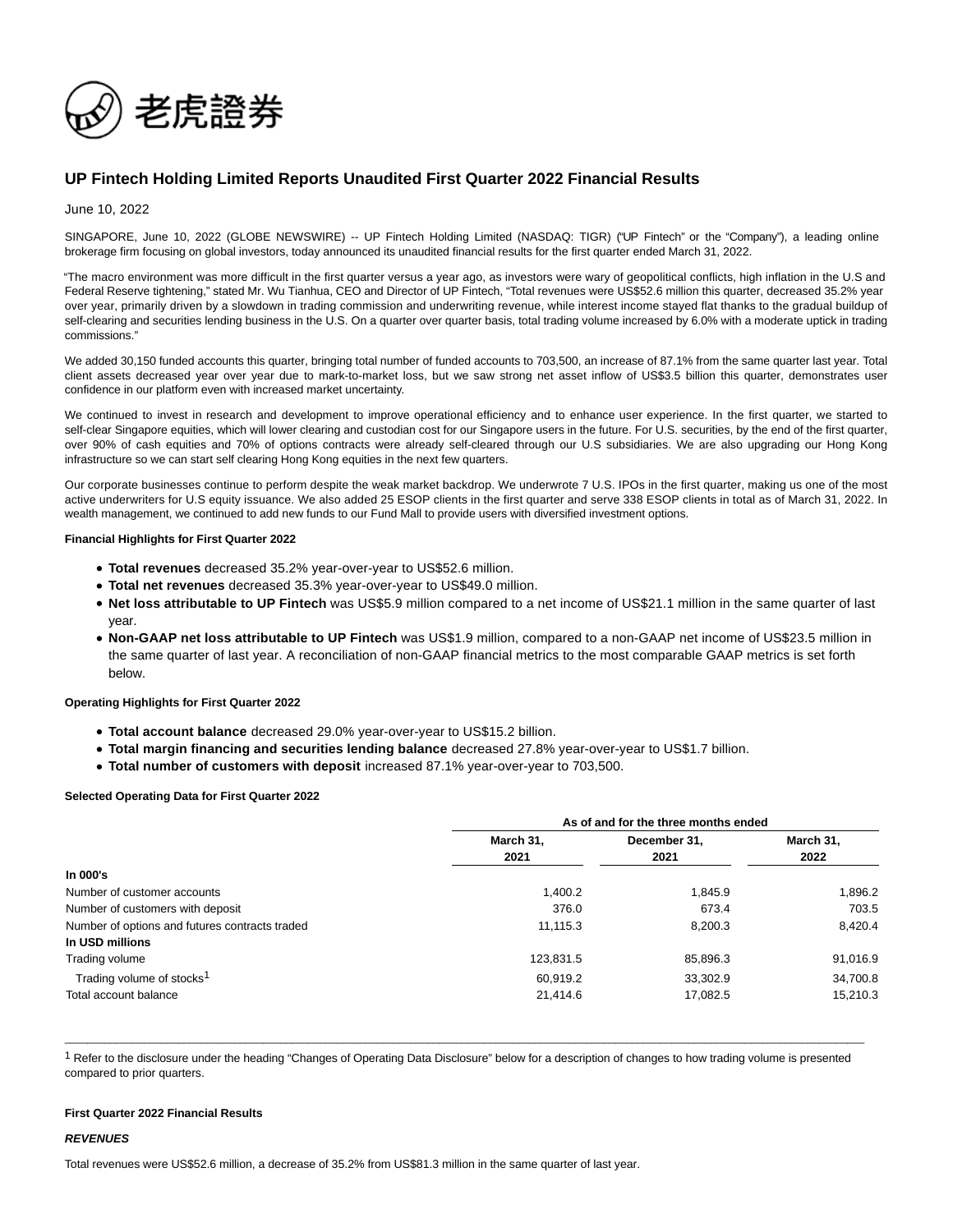

# **UP Fintech Holding Limited Reports Unaudited First Quarter 2022 Financial Results**

## June 10, 2022

SINGAPORE, June 10, 2022 (GLOBE NEWSWIRE) -- UP Fintech Holding Limited (NASDAQ: TIGR) ("UP Fintech" or the "Company"), a leading online brokerage firm focusing on global investors, today announced its unaudited financial results for the first quarter ended March 31, 2022.

"The macro environment was more difficult in the first quarter versus a year ago, as investors were wary of geopolitical conflicts, high inflation in the U.S and Federal Reserve tightening," stated Mr. Wu Tianhua, CEO and Director of UP Fintech, "Total revenues were US\$52.6 million this quarter, decreased 35.2% year over year, primarily driven by a slowdown in trading commission and underwriting revenue, while interest income stayed flat thanks to the gradual buildup of self-clearing and securities lending business in the U.S. On a quarter over quarter basis, total trading volume increased by 6.0% with a moderate uptick in trading commissions."

We added 30,150 funded accounts this quarter, bringing total number of funded accounts to 703,500, an increase of 87.1% from the same quarter last year. Total client assets decreased year over year due to mark-to-market loss, but we saw strong net asset inflow of US\$3.5 billion this quarter, demonstrates user confidence in our platform even with increased market uncertainty.

We continued to invest in research and development to improve operational efficiency and to enhance user experience. In the first quarter, we started to self-clear Singapore equities, which will lower clearing and custodian cost for our Singapore users in the future. For U.S. securities, by the end of the first quarter, over 90% of cash equities and 70% of options contracts were already self-cleared through our U.S subsidiaries. We are also upgrading our Hong Kong infrastructure so we can start self clearing Hong Kong equities in the next few quarters.

Our corporate businesses continue to perform despite the weak market backdrop. We underwrote 7 U.S. IPOs in the first quarter, making us one of the most active underwriters for U.S equity issuance. We also added 25 ESOP clients in the first quarter and serve 338 ESOP clients in total as of March 31, 2022. In wealth management, we continued to add new funds to our Fund Mall to provide users with diversified investment options.

## **Financial Highlights for First Quarter 2022**

- **Total revenues** decreased 35.2% year-over-year to US\$52.6 million.
- **Total net revenues** decreased 35.3% year-over-year to US\$49.0 million.
- **Net loss attributable to UP Fintech** was US\$5.9 million compared to a net income of US\$21.1 million in the same quarter of last year.
- **Non-GAAP net loss attributable to UP Fintech** was US\$1.9 million, compared to a non-GAAP net income of US\$23.5 million in the same quarter of last year. A reconciliation of non-GAAP financial metrics to the most comparable GAAP metrics is set forth below.

## **Operating Highlights for First Quarter 2022**

- **Total account balance** decreased 29.0% year-over-year to US\$15.2 billion.
- **Total margin financing and securities lending balance** decreased 27.8% year-over-year to US\$1.7 billion.
- **Total number of customers with deposit** increased 87.1% year-over-year to 703,500.

## **Selected Operating Data for First Quarter 2022**

|                                                | As of and for the three months ended |              |           |  |
|------------------------------------------------|--------------------------------------|--------------|-----------|--|
|                                                | March 31,                            | December 31, | March 31, |  |
|                                                | 2021                                 | 2021         | 2022      |  |
| In 000's                                       |                                      |              |           |  |
| Number of customer accounts                    | 1,400.2                              | 1.845.9      | 1,896.2   |  |
| Number of customers with deposit               | 376.0                                | 673.4        | 703.5     |  |
| Number of options and futures contracts traded | 11,115.3                             | 8,200.3      | 8,420.4   |  |
| In USD millions                                |                                      |              |           |  |
| Trading volume                                 | 123,831.5                            | 85,896.3     | 91,016.9  |  |
| Trading volume of stocks <sup>1</sup>          | 60.919.2                             | 33,302.9     | 34,700.8  |  |
| Total account balance                          | 21,414.6                             | 17,082.5     | 15,210.3  |  |

\_\_\_\_\_\_\_\_\_\_\_\_\_\_\_\_\_\_\_\_\_\_\_\_\_\_\_\_\_\_\_\_\_\_\_\_\_\_\_\_\_\_\_\_\_\_\_\_\_\_\_\_\_\_\_\_\_\_\_\_\_\_\_\_\_\_\_\_\_\_\_\_\_\_\_\_\_\_\_\_\_\_\_\_\_\_\_\_\_\_\_\_\_\_\_\_\_\_\_\_\_\_\_\_\_\_\_\_\_\_\_\_\_\_\_\_\_\_\_\_\_\_\_\_\_\_\_\_\_\_\_\_\_\_\_\_\_\_\_\_\_ <sup>1</sup> Refer to the disclosure under the heading "Changes of Operating Data Disclosure" below for a description of changes to how trading volume is presented compared to prior quarters.

## **First Quarter 2022 Financial Results**

## **REVENUES**

Total revenues were US\$52.6 million, a decrease of 35.2% from US\$81.3 million in the same quarter of last year.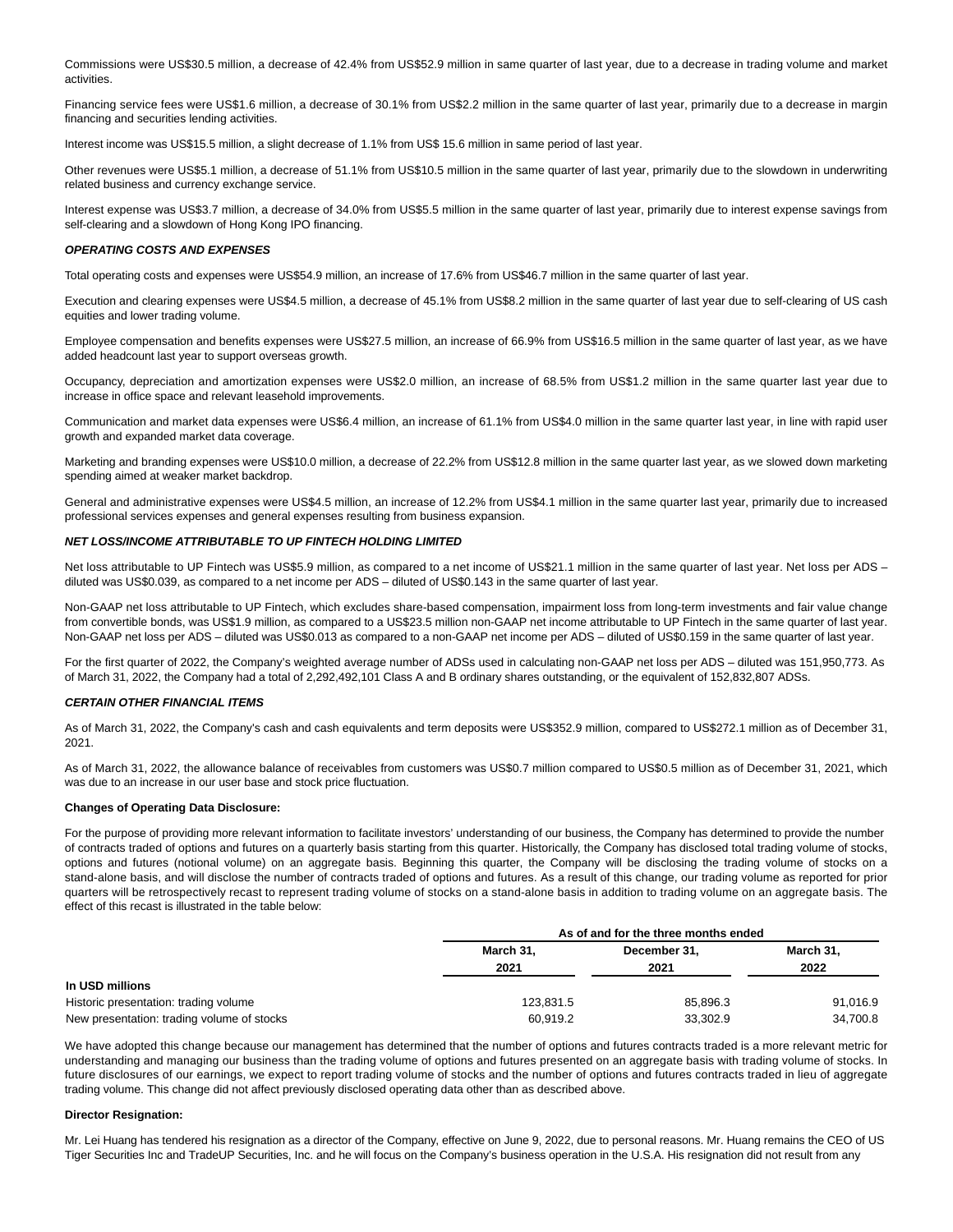Commissions were US\$30.5 million, a decrease of 42.4% from US\$52.9 million in same quarter of last year, due to a decrease in trading volume and market activities.

Financing service fees were US\$1.6 million, a decrease of 30.1% from US\$2.2 million in the same quarter of last year, primarily due to a decrease in margin financing and securities lending activities.

Interest income was US\$15.5 million, a slight decrease of 1.1% from US\$ 15.6 million in same period of last year.

Other revenues were US\$5.1 million, a decrease of 51.1% from US\$10.5 million in the same quarter of last year, primarily due to the slowdown in underwriting related business and currency exchange service.

Interest expense was US\$3.7 million, a decrease of 34.0% from US\$5.5 million in the same quarter of last year, primarily due to interest expense savings from self-clearing and a slowdown of Hong Kong IPO financing.

## **OPERATING COSTS AND EXPENSES**

Total operating costs and expenses were US\$54.9 million, an increase of 17.6% from US\$46.7 million in the same quarter of last year.

Execution and clearing expenses were US\$4.5 million, a decrease of 45.1% from US\$8.2 million in the same quarter of last year due to self-clearing of US cash equities and lower trading volume.

Employee compensation and benefits expenses were US\$27.5 million, an increase of 66.9% from US\$16.5 million in the same quarter of last year, as we have added headcount last year to support overseas growth.

Occupancy, depreciation and amortization expenses were US\$2.0 million, an increase of 68.5% from US\$1.2 million in the same quarter last year due to increase in office space and relevant leasehold improvements.

Communication and market data expenses were US\$6.4 million, an increase of 61.1% from US\$4.0 million in the same quarter last year, in line with rapid user growth and expanded market data coverage.

Marketing and branding expenses were US\$10.0 million, a decrease of 22.2% from US\$12.8 million in the same quarter last year, as we slowed down marketing spending aimed at weaker market backdrop.

General and administrative expenses were US\$4.5 million, an increase of 12.2% from US\$4.1 million in the same quarter last year, primarily due to increased professional services expenses and general expenses resulting from business expansion.

### **NET LOSS/INCOME ATTRIBUTABLE TO UP FINTECH HOLDING LIMITED**

Net loss attributable to UP Fintech was US\$5.9 million, as compared to a net income of US\$21.1 million in the same quarter of last year. Net loss per ADS diluted was US\$0.039, as compared to a net income per ADS – diluted of US\$0.143 in the same quarter of last year.

Non-GAAP net loss attributable to UP Fintech, which excludes share-based compensation, impairment loss from long-term investments and fair value change from convertible bonds, was US\$1.9 million, as compared to a US\$23.5 million non-GAAP net income attributable to UP Fintech in the same quarter of last year. Non-GAAP net loss per ADS – diluted was US\$0.013 as compared to a non-GAAP net income per ADS – diluted of US\$0.159 in the same quarter of last year.

For the first quarter of 2022, the Company's weighted average number of ADSs used in calculating non-GAAP net loss per ADS – diluted was 151,950,773. As of March 31, 2022, the Company had a total of 2,292,492,101 Class A and B ordinary shares outstanding, or the equivalent of 152,832,807 ADSs.

#### **CERTAIN OTHER FINANCIAL ITEMS**

As of March 31, 2022, the Company's cash and cash equivalents and term deposits were US\$352.9 million, compared to US\$272.1 million as of December 31, 2021.

As of March 31, 2022, the allowance balance of receivables from customers was US\$0.7 million compared to US\$0.5 million as of December 31, 2021, which was due to an increase in our user base and stock price fluctuation.

#### **Changes of Operating Data Disclosure:**

For the purpose of providing more relevant information to facilitate investors' understanding of our business, the Company has determined to provide the number of contracts traded of options and futures on a quarterly basis starting from this quarter. Historically, the Company has disclosed total trading volume of stocks, options and futures (notional volume) on an aggregate basis. Beginning this quarter, the Company will be disclosing the trading volume of stocks on a stand-alone basis, and will disclose the number of contracts traded of options and futures. As a result of this change, our trading volume as reported for prior quarters will be retrospectively recast to represent trading volume of stocks on a stand-alone basis in addition to trading volume on an aggregate basis. The effect of this recast is illustrated in the table below:

|                                            | As of and for the three months ended |              |           |  |
|--------------------------------------------|--------------------------------------|--------------|-----------|--|
|                                            | March 31,                            | December 31, | March 31, |  |
|                                            | 2021                                 | 2021         | 2022      |  |
| In USD millions                            |                                      |              |           |  |
| Historic presentation: trading volume      | 123,831.5                            | 85.896.3     | 91.016.9  |  |
| New presentation: trading volume of stocks | 60,919.2                             | 33,302.9     | 34,700.8  |  |

We have adopted this change because our management has determined that the number of options and futures contracts traded is a more relevant metric for understanding and managing our business than the trading volume of options and futures presented on an aggregate basis with trading volume of stocks. In future disclosures of our earnings, we expect to report trading volume of stocks and the number of options and futures contracts traded in lieu of aggregate trading volume. This change did not affect previously disclosed operating data other than as described above.

#### **Director Resignation:**

Mr. Lei Huang has tendered his resignation as a director of the Company, effective on June 9, 2022, due to personal reasons. Mr. Huang remains the CEO of US Tiger Securities Inc and TradeUP Securities, Inc. and he will focus on the Company's business operation in the U.S.A. His resignation did not result from any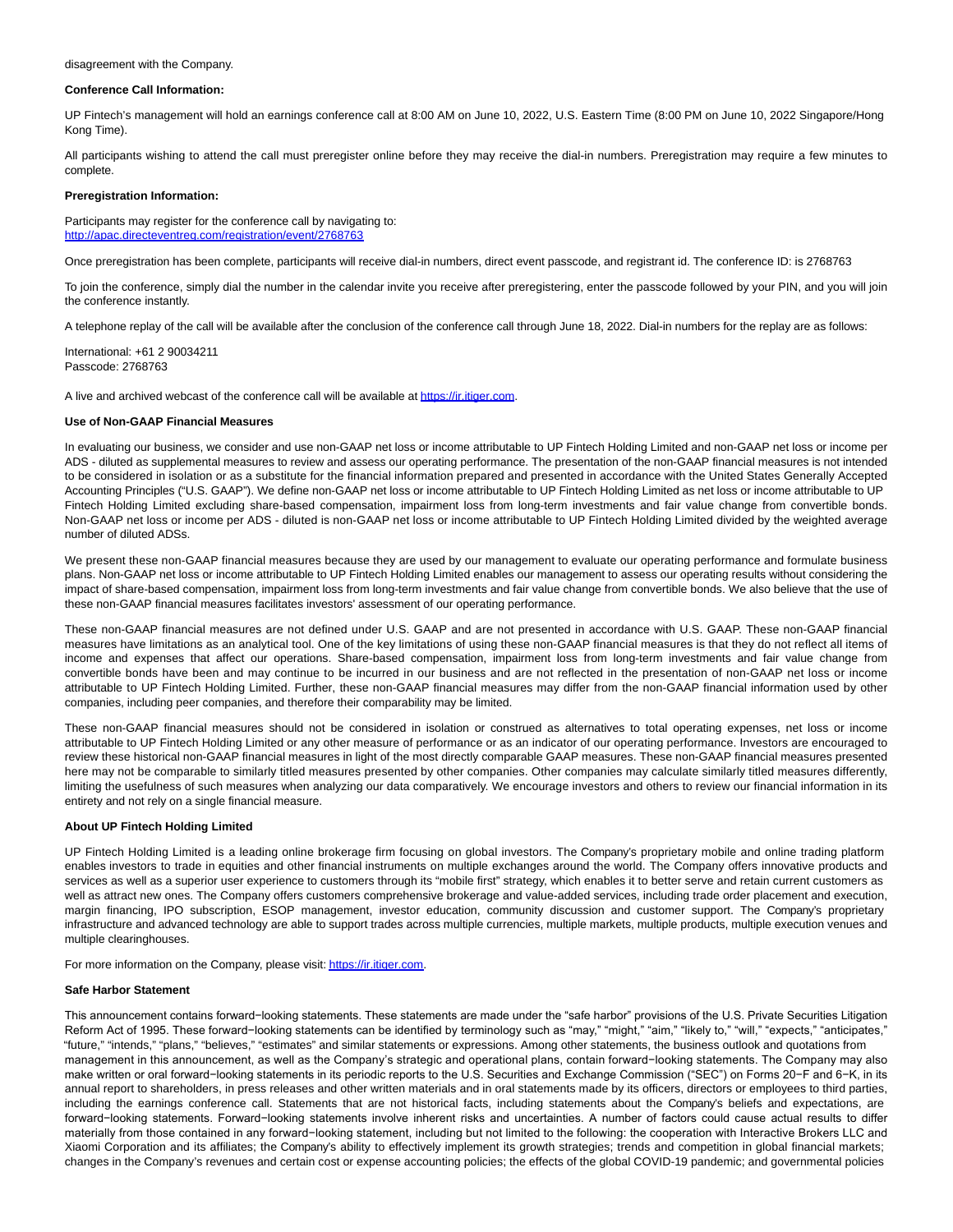disagreement with the Company.

#### **Conference Call Information:**

UP Fintech's management will hold an earnings conference call at 8:00 AM on June 10, 2022, U.S. Eastern Time (8:00 PM on June 10, 2022 Singapore/Hong Kong Time).

All participants wishing to attend the call must preregister online before they may receive the dial-in numbers. Preregistration may require a few minutes to complete.

#### **Preregistration Information:**

Participants may register for the conference call by navigating to: [http://apac.directeventreg.com/registration/event/2768763](https://www.globenewswire.com/Tracker?data=LhewO1kVWDwKkS6HPgqmBpWx5GwVTno5TqvujXqzvpfelWLwMiyXR_8zqO42ev-JAltbxPqdt4zxATUO6okUga4mOrALTpO10VnAhs8zKWIy9LwYzLmYwgAAoidWpIgrJuVgwxqoNMKZAdxECV73F1P5Dx7XahHEsu_C0OfpKG21kZgzZC8kSlVdPtFublNj)

Once preregistration has been complete, participants will receive dial-in numbers, direct event passcode, and registrant id. The conference ID: is 2768763

To join the conference, simply dial the number in the calendar invite you receive after preregistering, enter the passcode followed by your PIN, and you will join the conference instantly.

A telephone replay of the call will be available after the conclusion of the conference call through June 18, 2022. Dial-in numbers for the replay are as follows:

International: +61 2 90034211 Passcode: 2768763

A live and archived webcast of the conference call will be available a[t https://ir.itiger.com.](https://www.globenewswire.com/Tracker?data=eIbtBH_ibbUJ4fyTrJsoJ4DHxZX1YVdhbe-cwr9bTu9PMpCrp9oaddFqyWuk378q4LUO9MYlA-Wzzxd61bjATCqmql6grBCzfFDu3YD9yzs=)

## **Use of Non-GAAP Financial Measures**

In evaluating our business, we consider and use non-GAAP net loss or income attributable to UP Fintech Holding Limited and non-GAAP net loss or income per ADS - diluted as supplemental measures to review and assess our operating performance. The presentation of the non-GAAP financial measures is not intended to be considered in isolation or as a substitute for the financial information prepared and presented in accordance with the United States Generally Accepted Accounting Principles ("U.S. GAAP"). We define non-GAAP net loss or income attributable to UP Fintech Holding Limited as net loss or income attributable to UP Fintech Holding Limited excluding share-based compensation, impairment loss from long-term investments and fair value change from convertible bonds. Non-GAAP net loss or income per ADS - diluted is non-GAAP net loss or income attributable to UP Fintech Holding Limited divided by the weighted average number of diluted ADSs.

We present these non-GAAP financial measures because they are used by our management to evaluate our operating performance and formulate business plans. Non-GAAP net loss or income attributable to UP Fintech Holding Limited enables our management to assess our operating results without considering the impact of share-based compensation, impairment loss from long-term investments and fair value change from convertible bonds. We also believe that the use of these non-GAAP financial measures facilitates investors' assessment of our operating performance.

These non-GAAP financial measures are not defined under U.S. GAAP and are not presented in accordance with U.S. GAAP. These non-GAAP financial measures have limitations as an analytical tool. One of the key limitations of using these non-GAAP financial measures is that they do not reflect all items of income and expenses that affect our operations. Share-based compensation, impairment loss from long-term investments and fair value change from convertible bonds have been and may continue to be incurred in our business and are not reflected in the presentation of non-GAAP net loss or income attributable to UP Fintech Holding Limited. Further, these non-GAAP financial measures may differ from the non-GAAP financial information used by other companies, including peer companies, and therefore their comparability may be limited.

These non-GAAP financial measures should not be considered in isolation or construed as alternatives to total operating expenses, net loss or income attributable to UP Fintech Holding Limited or any other measure of performance or as an indicator of our operating performance. Investors are encouraged to review these historical non-GAAP financial measures in light of the most directly comparable GAAP measures. These non-GAAP financial measures presented here may not be comparable to similarly titled measures presented by other companies. Other companies may calculate similarly titled measures differently, limiting the usefulness of such measures when analyzing our data comparatively. We encourage investors and others to review our financial information in its entirety and not rely on a single financial measure.

## **About UP Fintech Holding Limited**

UP Fintech Holding Limited is a leading online brokerage firm focusing on global investors. The Company's proprietary mobile and online trading platform enables investors to trade in equities and other financial instruments on multiple exchanges around the world. The Company offers innovative products and services as well as a superior user experience to customers through its "mobile first" strategy, which enables it to better serve and retain current customers as well as attract new ones. The Company offers customers comprehensive brokerage and value-added services, including trade order placement and execution, margin financing, IPO subscription, ESOP management, investor education, community discussion and customer support. The Company's proprietary infrastructure and advanced technology are able to support trades across multiple currencies, multiple markets, multiple products, multiple execution venues and multiple clearinghouses.

For more information on the Company, please visit: [https://ir.itiger.com.](https://www.globenewswire.com/Tracker?data=eIbtBH_ibbUJ4fyTrJsoJ4DHxZX1YVdhbe-cwr9bTu9CG_Ovpd-Zd2RuLAyH18OUJ6Lz0xlgV2kxl0wWQ9ZDGb9H_b-cvV3vKnx-w9JQ98M=)

## **Safe Harbor Statement**

This announcement contains forward−looking statements. These statements are made under the "safe harbor" provisions of the U.S. Private Securities Litigation Reform Act of 1995. These forward-looking statements can be identified by terminology such as "may," "might," "aim," "likely to," "will," "expects," "anticipates," "future," "intends," "plans," "believes," "estimates" and similar statements or expressions. Among other statements, the business outlook and quotations from management in this announcement, as well as the Company's strategic and operational plans, contain forward-looking statements. The Company may also make written or oral forward−looking statements in its periodic reports to the U.S. Securities and Exchange Commission ("SEC") on Forms 20−F and 6−K, in its annual report to shareholders, in press releases and other written materials and in oral statements made by its officers, directors or employees to third parties, including the earnings conference call. Statements that are not historical facts, including statements about the Company's beliefs and expectations, are forward−looking statements. Forward−looking statements involve inherent risks and uncertainties. A number of factors could cause actual results to differ materially from those contained in any forward-looking statement, including but not limited to the following: the cooperation with Interactive Brokers LLC and Xiaomi Corporation and its affiliates; the Company's ability to effectively implement its growth strategies; trends and competition in global financial markets; changes in the Company's revenues and certain cost or expense accounting policies; the effects of the global COVID-19 pandemic; and governmental policies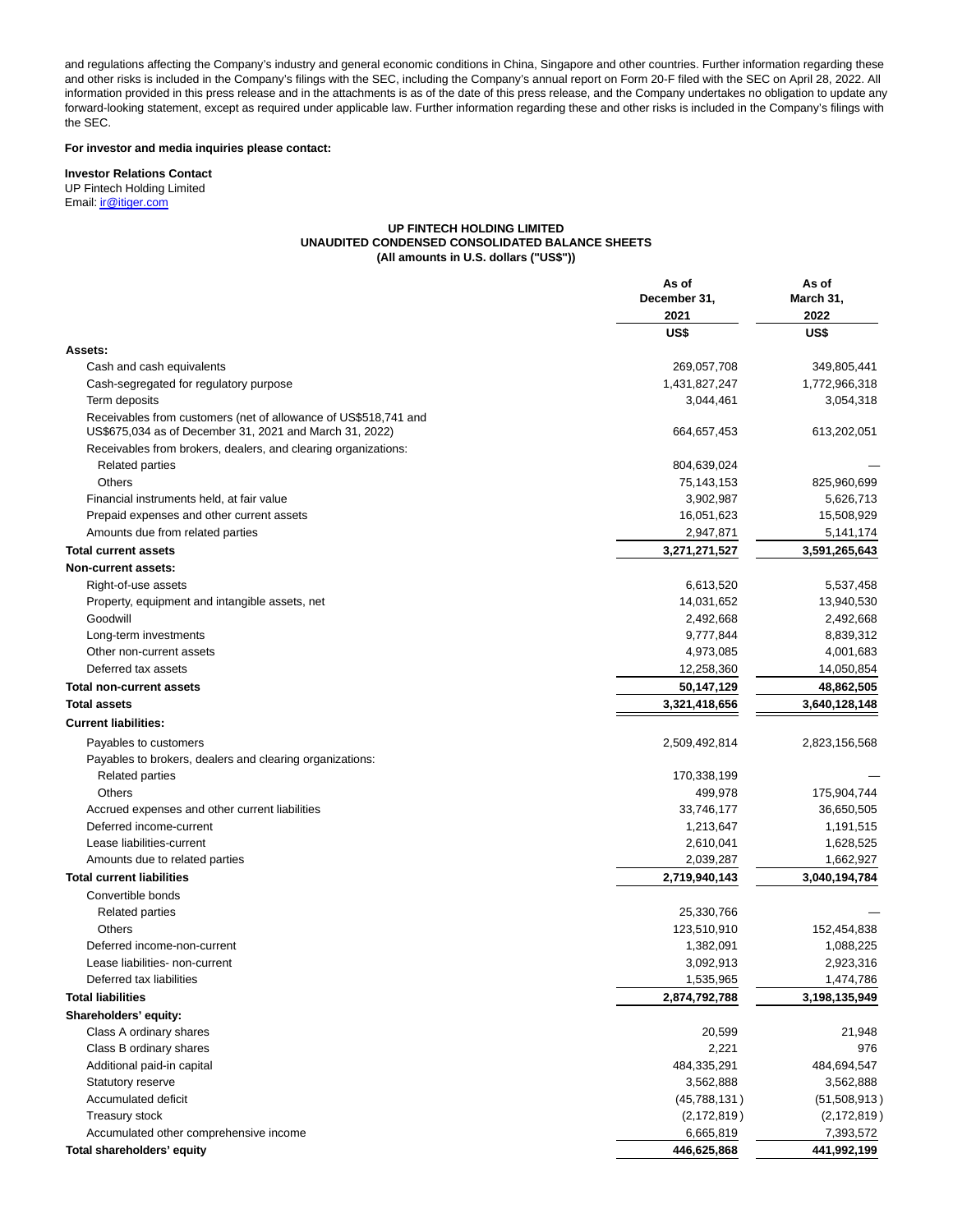and regulations affecting the Company's industry and general economic conditions in China, Singapore and other countries. Further information regarding these and other risks is included in the Company's filings with the SEC, including the Company's annual report on Form 20-F filed with the SEC on April 28, 2022. All information provided in this press release and in the attachments is as of the date of this press release, and the Company undertakes no obligation to update any forward-looking statement, except as required under applicable law. Further information regarding these and other risks is included in the Company's filings with the SEC.

## **For investor and media inquiries please contact:**

# **Investor Relations Contact**

UP Fintech Holding Limited Email[: ir@itiger.com](https://www.globenewswire.com/Tracker?data=vyQ4bZix4efrebirKVjmFSHrh1txotkvPaL_DIUSVdYkdyFv-LjCuUDeityOYMYKzSVyKivn5hc_OAotPx_ehg==)

## **UP FINTECH HOLDING LIMITED UNAUDITED CONDENSED CONSOLIDATED BALANCE SHEETS (All amounts in U.S. dollars ("US\$"))**

|                                                                                                                            | As of<br>December 31,<br>2021 | As of<br>March 31,<br>2022 |
|----------------------------------------------------------------------------------------------------------------------------|-------------------------------|----------------------------|
|                                                                                                                            | US\$                          | US\$                       |
| Assets:                                                                                                                    |                               |                            |
| Cash and cash equivalents                                                                                                  | 269,057,708                   | 349,805,441                |
| Cash-segregated for regulatory purpose                                                                                     | 1,431,827,247                 | 1,772,966,318              |
| Term deposits                                                                                                              | 3,044,461                     | 3,054,318                  |
| Receivables from customers (net of allowance of US\$518,741 and<br>US\$675,034 as of December 31, 2021 and March 31, 2022) | 664,657,453                   | 613,202,051                |
| Receivables from brokers, dealers, and clearing organizations:                                                             |                               |                            |
| <b>Related parties</b>                                                                                                     | 804,639,024                   |                            |
| <b>Others</b>                                                                                                              | 75,143,153                    | 825,960,699                |
| Financial instruments held, at fair value                                                                                  | 3,902,987                     | 5,626,713                  |
| Prepaid expenses and other current assets                                                                                  | 16,051,623                    | 15,508,929                 |
| Amounts due from related parties                                                                                           | 2,947,871                     | 5,141,174                  |
| <b>Total current assets</b>                                                                                                | 3,271,271,527                 | 3,591,265,643              |
| Non-current assets:                                                                                                        |                               |                            |
| Right-of-use assets                                                                                                        | 6,613,520                     | 5,537,458                  |
| Property, equipment and intangible assets, net                                                                             | 14,031,652                    | 13,940,530                 |
| Goodwill                                                                                                                   | 2,492,668                     | 2,492,668                  |
| Long-term investments                                                                                                      | 9,777,844                     | 8,839,312                  |
| Other non-current assets                                                                                                   | 4,973,085                     | 4,001,683                  |
| Deferred tax assets                                                                                                        | 12,258,360                    | 14,050,854                 |
| <b>Total non-current assets</b>                                                                                            | 50,147,129                    | 48,862,505                 |
| <b>Total assets</b>                                                                                                        | 3,321,418,656                 | 3,640,128,148              |
| <b>Current liabilities:</b>                                                                                                |                               |                            |
| Payables to customers                                                                                                      | 2,509,492,814                 | 2,823,156,568              |
| Payables to brokers, dealers and clearing organizations:                                                                   |                               |                            |
| <b>Related parties</b>                                                                                                     | 170,338,199                   |                            |
| <b>Others</b>                                                                                                              | 499,978                       | 175,904,744                |
| Accrued expenses and other current liabilities                                                                             | 33,746,177                    | 36,650,505                 |
| Deferred income-current                                                                                                    | 1,213,647                     | 1,191,515                  |
| Lease liabilities-current                                                                                                  | 2,610,041                     | 1,628,525                  |
| Amounts due to related parties                                                                                             | 2,039,287                     | 1,662,927                  |
| <b>Total current liabilities</b>                                                                                           | 2,719,940,143                 | 3,040,194,784              |
| Convertible bonds                                                                                                          |                               |                            |
| <b>Related parties</b>                                                                                                     | 25,330,766                    |                            |
| <b>Others</b>                                                                                                              | 123,510,910                   | 152,454,838                |
| Deferred income-non-current                                                                                                | 1,382,091                     | 1,088,225                  |
| Lease liabilities- non-current                                                                                             | 3,092,913                     | 2,923,316                  |
| Deferred tax liabilities                                                                                                   | 1,535,965                     | 1,474,786                  |
| <b>Total liabilities</b>                                                                                                   | 2,874,792,788                 | 3,198,135,949              |
| Shareholders' equity:                                                                                                      |                               |                            |
| Class A ordinary shares                                                                                                    | 20,599                        | 21,948                     |
| Class B ordinary shares                                                                                                    | 2,221                         | 976                        |
| Additional paid-in capital                                                                                                 | 484,335,291                   | 484,694,547                |
| Statutory reserve                                                                                                          | 3,562,888                     | 3,562,888                  |
| Accumulated deficit                                                                                                        | (45,788,131)                  | (51,508,913)               |
| <b>Treasury stock</b>                                                                                                      | (2, 172, 819)                 | (2, 172, 819)              |
| Accumulated other comprehensive income                                                                                     | 6,665,819                     | 7,393,572                  |
| Total shareholders' equity                                                                                                 | 446,625,868                   | 441,992,199                |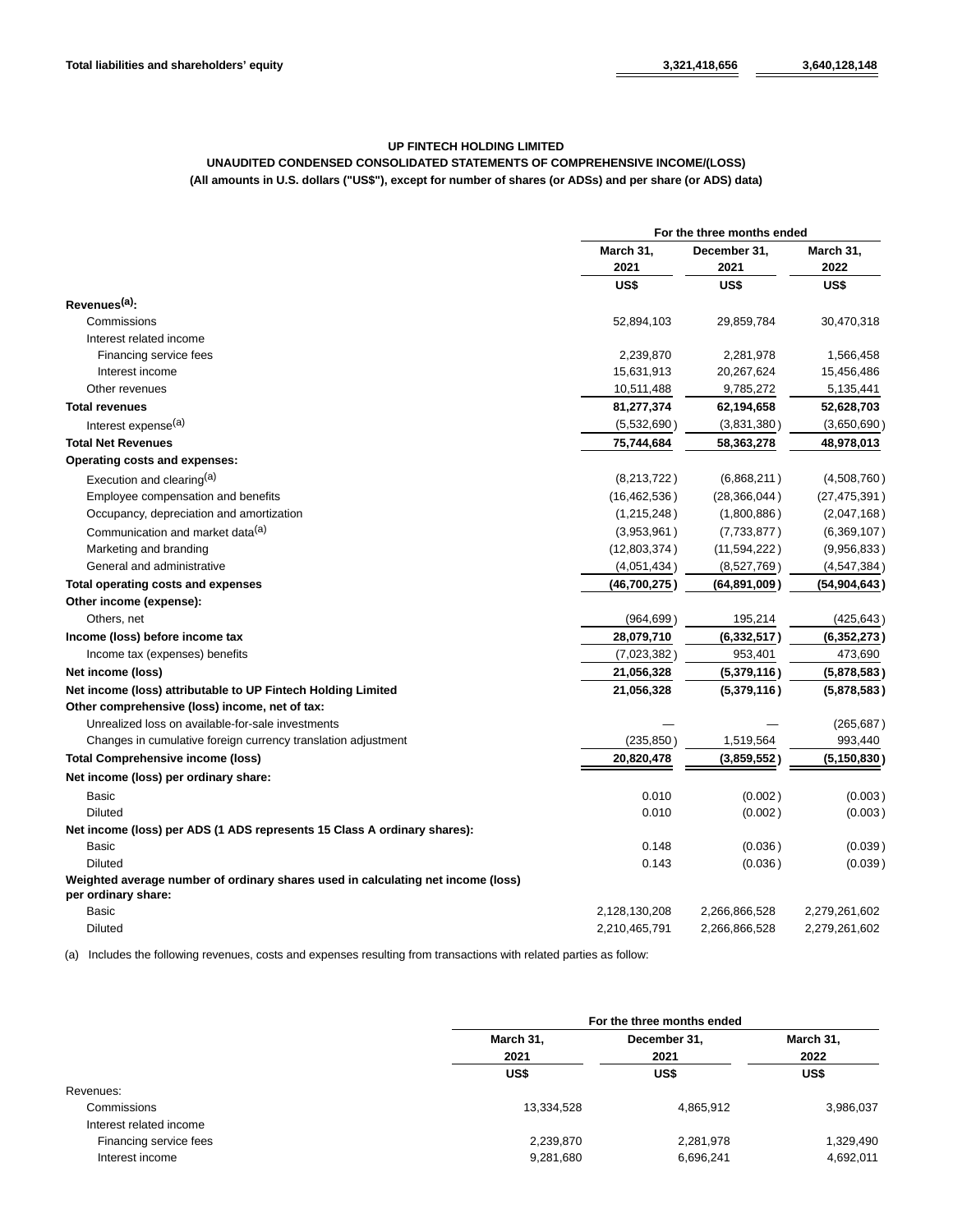# **UP FINTECH HOLDING LIMITED**

# **UNAUDITED CONDENSED CONSOLIDATED STATEMENTS OF COMPREHENSIVE INCOME/(LOSS)**

**(All amounts in U.S. dollars ("US\$"), except for number of shares (or ADSs) and per share (or ADS) data)**

|                                                                                  | For the three months ended |                |                |  |
|----------------------------------------------------------------------------------|----------------------------|----------------|----------------|--|
|                                                                                  | March 31,                  | December 31.   | March 31,      |  |
|                                                                                  | 2021                       | 2021           | 2022           |  |
|                                                                                  | US\$                       | US\$           | US\$           |  |
| Revenues <sup>(a)</sup> :                                                        |                            |                |                |  |
| Commissions                                                                      | 52,894,103                 | 29,859,784     | 30,470,318     |  |
| Interest related income                                                          |                            |                |                |  |
| Financing service fees                                                           | 2,239,870                  | 2,281,978      | 1,566,458      |  |
| Interest income                                                                  | 15,631,913                 | 20,267,624     | 15,456,486     |  |
| Other revenues                                                                   | 10,511,488                 | 9,785,272      | 5,135,441      |  |
| <b>Total revenues</b>                                                            | 81,277,374                 | 62,194,658     | 52,628,703     |  |
| Interest expense <sup>(a)</sup>                                                  | (5,532,690)                | (3,831,380)    | (3,650,690)    |  |
| <b>Total Net Revenues</b>                                                        | 75,744,684                 | 58,363,278     | 48,978,013     |  |
| Operating costs and expenses:                                                    |                            |                |                |  |
| Execution and clearing <sup>(a)</sup>                                            | (8,213,722)                | (6,868,211)    | (4,508,760)    |  |
| Employee compensation and benefits                                               | (16, 462, 536)             | (28, 366, 044) | (27, 475, 391) |  |
| Occupancy, depreciation and amortization                                         | (1,215,248)                | (1,800,886)    | (2,047,168)    |  |
| Communication and market data <sup>(a)</sup>                                     | (3,953,961)                | (7,733,877)    | (6,369,107)    |  |
| Marketing and branding                                                           | (12,803,374)               | (11,594,222)   | (9,956,833)    |  |
| General and administrative                                                       | (4,051,434)                | (8,527,769)    | (4,547,384)    |  |
| Total operating costs and expenses                                               | (46,700,275)               | (64,891,009)   | (54,904,643)   |  |
| Other income (expense):                                                          |                            |                |                |  |
| Others, net                                                                      | (964, 699)                 | 195,214        | (425, 643)     |  |
| Income (loss) before income tax                                                  | 28,079,710                 | (6, 332, 517)  | (6, 352, 273)  |  |
| Income tax (expenses) benefits                                                   | (7,023,382)                | 953,401        | 473,690        |  |
| Net income (loss)                                                                | 21,056,328                 | (5,379,116)    | (5,878,583)    |  |
| Net income (loss) attributable to UP Fintech Holding Limited                     | 21,056,328                 | (5,379,116)    | (5,878,583)    |  |
| Other comprehensive (loss) income, net of tax:                                   |                            |                |                |  |
| Unrealized loss on available-for-sale investments                                |                            |                | (265, 687)     |  |
| Changes in cumulative foreign currency translation adjustment                    | (235, 850)                 | 1,519,564      | 993,440        |  |
| <b>Total Comprehensive income (loss)</b>                                         | 20,820,478                 | (3,859,552)    | (5, 150, 830)  |  |
| Net income (loss) per ordinary share:                                            |                            |                |                |  |
| Basic                                                                            | 0.010                      | (0.002)        | (0.003)        |  |
| <b>Diluted</b>                                                                   | 0.010                      | (0.002)        | (0.003)        |  |
| Net income (loss) per ADS (1 ADS represents 15 Class A ordinary shares):         |                            |                |                |  |
| Basic                                                                            | 0.148                      | (0.036)        | (0.039)        |  |
| Diluted                                                                          | 0.143                      | (0.036)        | (0.039)        |  |
| Weighted average number of ordinary shares used in calculating net income (loss) |                            |                |                |  |
| per ordinary share:                                                              |                            |                |                |  |
| Basic                                                                            | 2,128,130,208              | 2,266,866,528  | 2,279,261,602  |  |
| Diluted                                                                          | 2,210,465,791              | 2,266,866,528  | 2,279,261,602  |  |

(a) Includes the following revenues, costs and expenses resulting from transactions with related parties as follow:

|                         | For the three months ended |              |                   |  |
|-------------------------|----------------------------|--------------|-------------------|--|
|                         | March 31,                  | December 31, | March 31,<br>2022 |  |
|                         | 2021                       | 2021         |                   |  |
|                         | US\$                       | US\$         | US\$              |  |
| Revenues:               |                            |              |                   |  |
| Commissions             | 13,334,528                 | 4,865,912    | 3,986,037         |  |
| Interest related income |                            |              |                   |  |
| Financing service fees  | 2,239,870                  | 2,281,978    | 1,329,490         |  |
| Interest income         | 9,281,680                  | 6,696,241    | 4,692,011         |  |